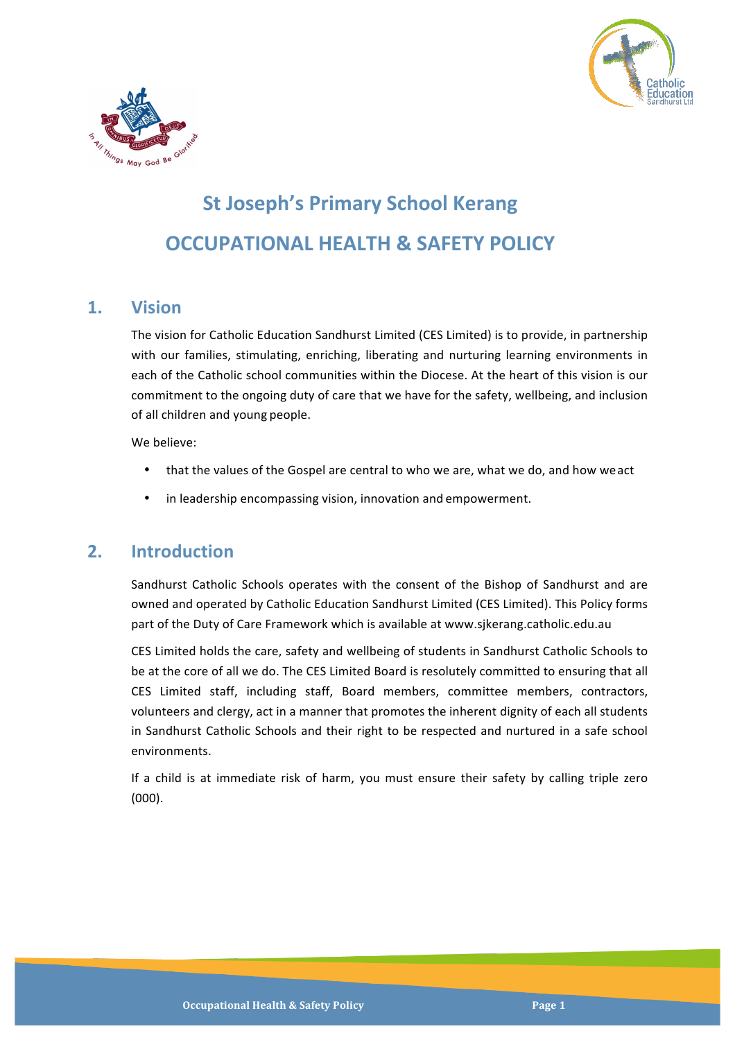



# **St Joseph's Primary School Kerang OCCUPATIONAL HEALTH & SAFETY POLICY**

### **1. Vision**

The vision for Catholic Education Sandhurst Limited (CES Limited) is to provide, in partnership with our families, stimulating, enriching, liberating and nurturing learning environments in each of the Catholic school communities within the Diocese. At the heart of this vision is our commitment to the ongoing duty of care that we have for the safety, wellbeing, and inclusion of all children and young people.

We helieve:

- that the values of the Gospel are central to who we are, what we do, and how we act
- in leadership encompassing vision, innovation and empowerment.

# **2. Introduction**

Sandhurst Catholic Schools operates with the consent of the Bishop of Sandhurst and are owned and operated by Catholic Education Sandhurst Limited (CES Limited). This Policy forms part of the Duty of Care Framework which is available at www.sjkerang.catholic.edu.au

CES Limited holds the care, safety and wellbeing of students in Sandhurst Catholic Schools to be at the core of all we do. The CES Limited Board is resolutely committed to ensuring that all CES Limited staff, including staff, Board members, committee members, contractors, volunteers and clergy, act in a manner that promotes the inherent dignity of each all students in Sandhurst Catholic Schools and their right to be respected and nurtured in a safe school environments.

If a child is at immediate risk of harm, you must ensure their safety by calling triple zero (000).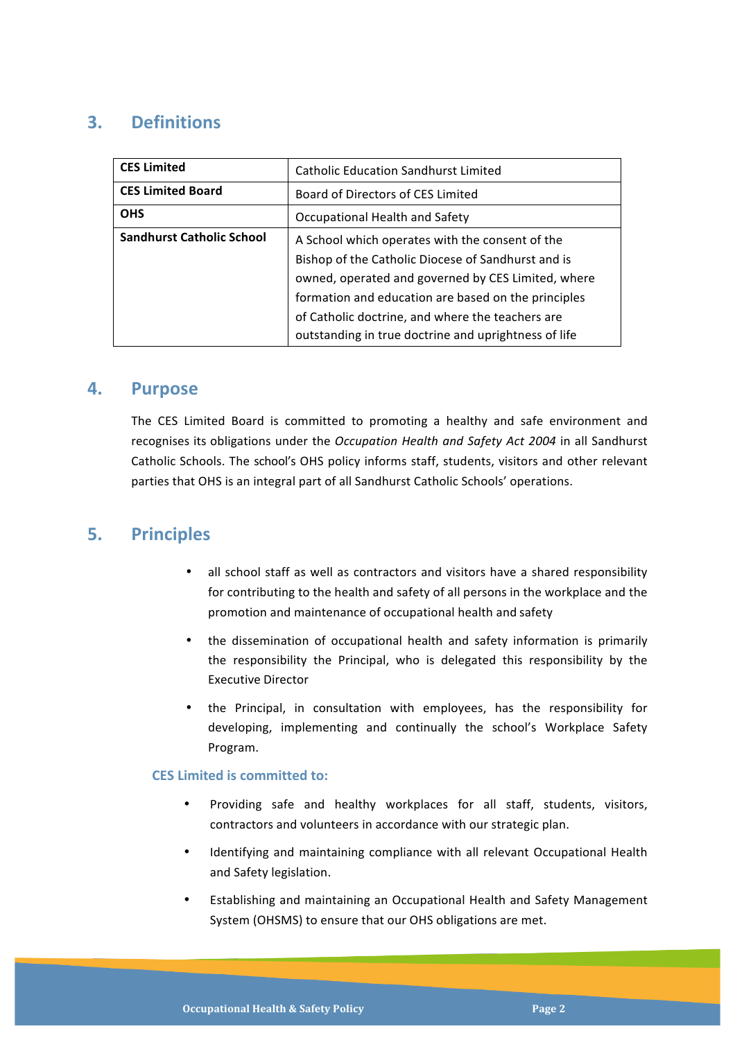## **3. Definitions**

| <b>CES Limited</b>               | <b>Catholic Education Sandhurst Limited</b>          |
|----------------------------------|------------------------------------------------------|
| <b>CES Limited Board</b>         | Board of Directors of CES Limited                    |
| <b>OHS</b>                       | Occupational Health and Safety                       |
| <b>Sandhurst Catholic School</b> | A School which operates with the consent of the      |
|                                  | Bishop of the Catholic Diocese of Sandhurst and is   |
|                                  | owned, operated and governed by CES Limited, where   |
|                                  | formation and education are based on the principles  |
|                                  | of Catholic doctrine, and where the teachers are     |
|                                  | outstanding in true doctrine and uprightness of life |

#### **4. Purpose**

The CES Limited Board is committed to promoting a healthy and safe environment and recognises its obligations under the *Occupation Health and Safety Act 2004* in all Sandhurst Catholic Schools. The school's OHS policy informs staff, students, visitors and other relevant parties that OHS is an integral part of all Sandhurst Catholic Schools' operations.

#### **5. Principles**

- all school staff as well as contractors and visitors have a shared responsibility for contributing to the health and safety of all persons in the workplace and the promotion and maintenance of occupational health and safety
- the dissemination of occupational health and safety information is primarily the responsibility the Principal, who is delegated this responsibility by the Executive Director
- the Principal, in consultation with employees, has the responsibility for developing, implementing and continually the school's Workplace Safety Program.

#### **CES Limited is committed to:**

- Providing safe and healthy workplaces for all staff, students, visitors, contractors and volunteers in accordance with our strategic plan.
- Identifying and maintaining compliance with all relevant Occupational Health and Safety legislation.
- Establishing and maintaining an Occupational Health and Safety Management System (OHSMS) to ensure that our OHS obligations are met.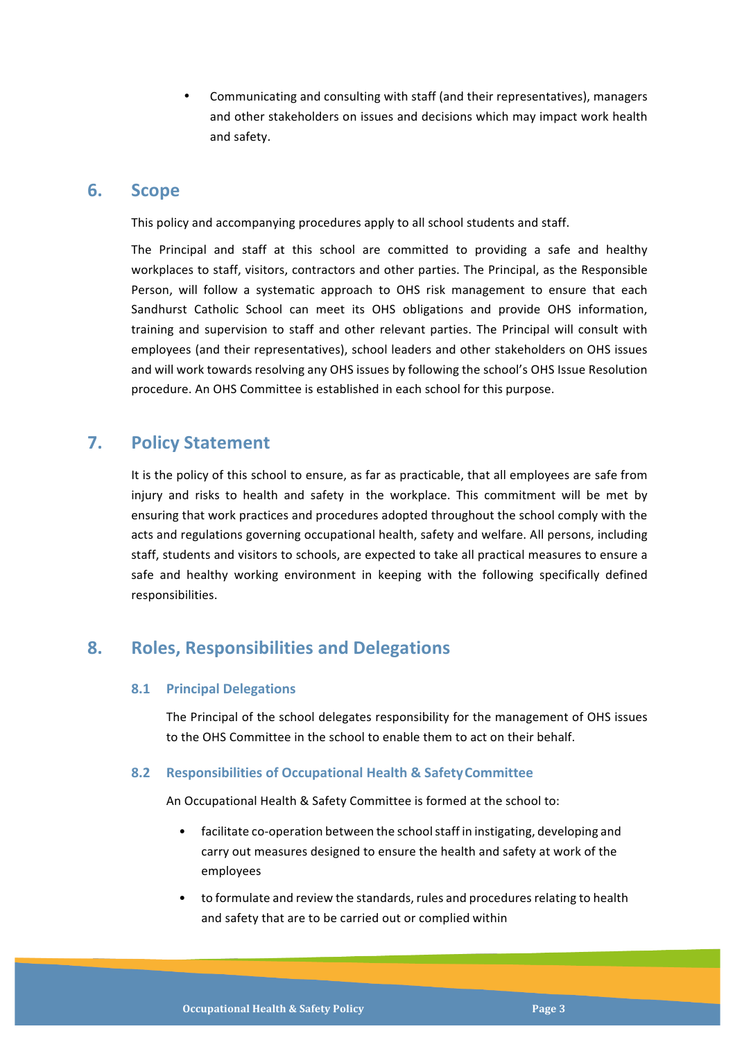Communicating and consulting with staff (and their representatives), managers and other stakeholders on issues and decisions which may impact work health and safety.

#### **6. Scope**

This policy and accompanying procedures apply to all school students and staff.

The Principal and staff at this school are committed to providing a safe and healthy workplaces to staff, visitors, contractors and other parties. The Principal, as the Responsible Person, will follow a systematic approach to OHS risk management to ensure that each Sandhurst Catholic School can meet its OHS obligations and provide OHS information, training and supervision to staff and other relevant parties. The Principal will consult with employees (and their representatives), school leaders and other stakeholders on OHS issues and will work towards resolving any OHS issues by following the school's OHS Issue Resolution procedure. An OHS Committee is established in each school for this purpose.

## **7. Policy Statement**

It is the policy of this school to ensure, as far as practicable, that all employees are safe from injury and risks to health and safety in the workplace. This commitment will be met by ensuring that work practices and procedures adopted throughout the school comply with the acts and regulations governing occupational health, safety and welfare. All persons, including staff, students and visitors to schools, are expected to take all practical measures to ensure a safe and healthy working environment in keeping with the following specifically defined responsibilities.

## **8. Roles, Responsibilities and Delegations**

#### **8.1 Principal Delegations**

The Principal of the school delegates responsibility for the management of OHS issues to the OHS Committee in the school to enable them to act on their behalf.

#### **8.2 Responsibilities of Occupational Health & SafetyCommittee**

An Occupational Health & Safety Committee is formed at the school to:

- facilitate co-operation between the schoolstaff in instigating, developing and carry out measures designed to ensure the health and safety at work of the employees
- to formulate and review the standards, rules and procedures relating to health and safety that are to be carried out or complied within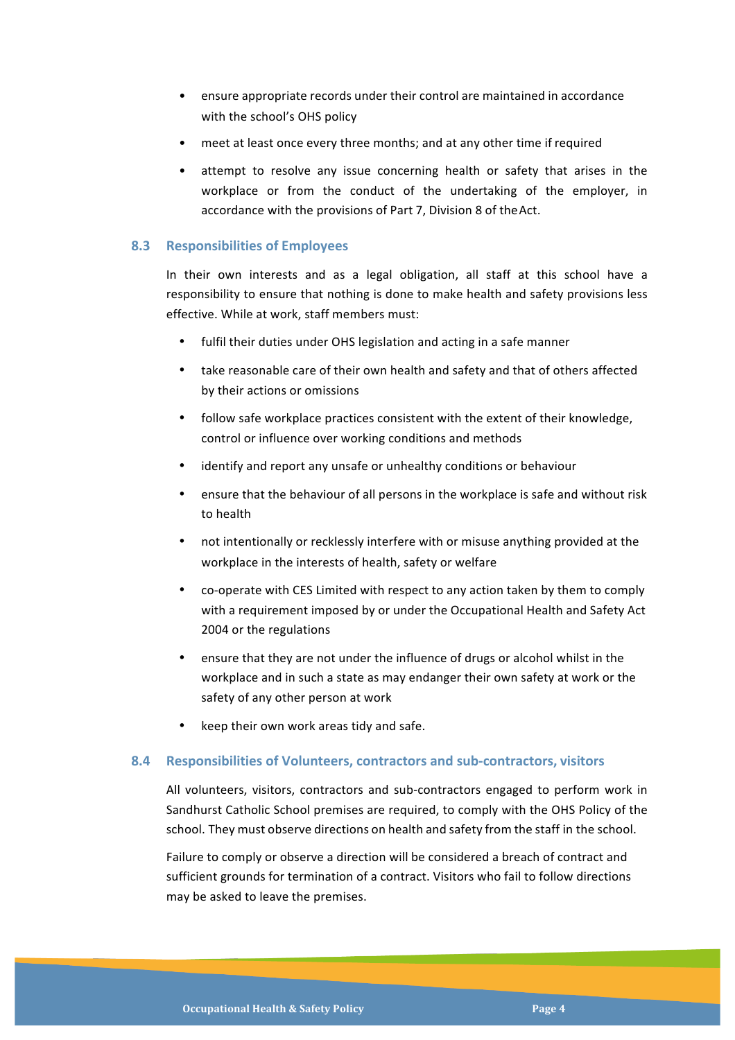- ensure appropriate records under their control are maintained in accordance with the school's OHS policy
- meet at least once every three months; and at any other time if required
- attempt to resolve any issue concerning health or safety that arises in the workplace or from the conduct of the undertaking of the employer, in accordance with the provisions of Part 7, Division 8 of the Act.

#### **8.3 Responsibilities of Employees**

In their own interests and as a legal obligation, all staff at this school have a responsibility to ensure that nothing is done to make health and safety provisions less effective. While at work, staff members must:

- fulfil their duties under OHS legislation and acting in a safe manner
- take reasonable care of their own health and safety and that of others affected by their actions or omissions
- follow safe workplace practices consistent with the extent of their knowledge, control or influence over working conditions and methods
- identify and report any unsafe or unhealthy conditions or behaviour
- ensure that the behaviour of all persons in the workplace is safe and without risk to health
- not intentionally or recklessly interfere with or misuse anything provided at the workplace in the interests of health, safety or welfare
- co-operate with CES Limited with respect to any action taken by them to comply with a requirement imposed by or under the Occupational Health and Safety Act 2004 or the regulations
- ensure that they are not under the influence of drugs or alcohol whilst in the workplace and in such a state as may endanger their own safety at work or the safety of any other person at work
- keep their own work areas tidy and safe.

#### **8.4 Responsibilities of Volunteers, contractors and sub-contractors, visitors**

All volunteers, visitors, contractors and sub-contractors engaged to perform work in Sandhurst Catholic School premises are required, to comply with the OHS Policy of the school. They must observe directions on health and safety from the staff in the school.

Failure to comply or observe a direction will be considered a breach of contract and sufficient grounds for termination of a contract. Visitors who fail to follow directions may be asked to leave the premises.